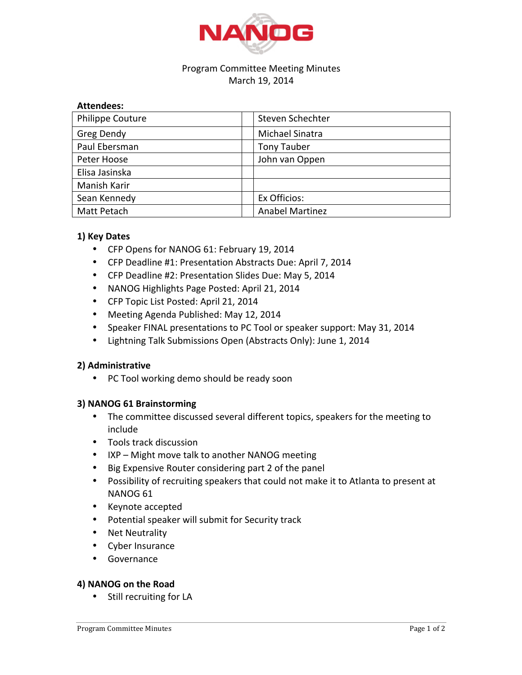

# Program Committee Meeting Minutes March 19, 2014

# **Attendees:**

| <b>Philippe Couture</b> | Steven Schechter       |
|-------------------------|------------------------|
| Greg Dendy              | Michael Sinatra        |
| Paul Ebersman           | <b>Tony Tauber</b>     |
| Peter Hoose             | John van Oppen         |
| Elisa Jasinska          |                        |
| Manish Karir            |                        |
| Sean Kennedy            | Ex Officios:           |
| Matt Petach             | <b>Anabel Martinez</b> |

# **1) Key Dates**

- CFP Opens for NANOG 61: February 19, 2014
- CFP Deadline #1: Presentation Abstracts Due: April 7, 2014
- CFP Deadline #2: Presentation Slides Due: May 5, 2014
- NANOG Highlights Page Posted: April 21, 2014
- CFP Topic List Posted: April 21, 2014
- Meeting Agenda Published: May 12, 2014
- Speaker FINAL presentations to PC Tool or speaker support: May 31, 2014
- Lightning Talk Submissions Open (Abstracts Only): June 1, 2014

# **2) Administrative**

• PC Tool working demo should be ready soon

# **3) NANOG 61 Brainstorming**

- The committee discussed several different topics, speakers for the meeting to include
- Tools track discussion
- IXP Might move talk to another NANOG meeting
- Big Expensive Router considering part 2 of the panel
- Possibility of recruiting speakers that could not make it to Atlanta to present at NANOG<sub>61</sub>
- Keynote accepted
- Potential speaker will submit for Security track
- Net Neutrality
- Cyber Insurance
- Governance

# **4) NANOG on the Road**

• Still recruiting for LA